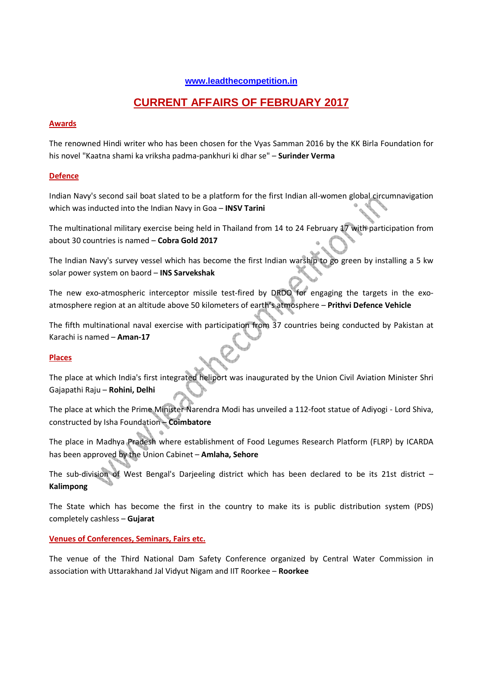# **www.leadthecompetition.in**

# **CURRENT AFFAIRS OF FEBRUARY 2017**

#### **Awards**

The renowned Hindi writer who has been chosen for the Vyas Samman 2016 by the KK Birla Foundation for his novel "Kaatna shami ka vriksha padma-pankhuri ki dhar se" – **Surinder Verma** 

### **Defence**

Indian Navy's second sail boat slated to be a platform for the first Indian all-women global circumnavigation which was inducted into the Indian Navy in Goa – **INSV Tarini** 

The multinational military exercise being held in Thailand from 14 to 24 February 17 with participation from about 30 countries is named – **Cobra Gold 2017**

The Indian Navy's survey vessel which has become the first Indian warship to go green by installing a 5 kw solar power system on baord – **INS Sarvekshak**

The new exo-atmospheric interceptor missile test-fired by DRDO for engaging the targets in the exoatmosphere region at an altitude above 50 kilometers of earth's atmosphere – **Prithvi Defence Vehicle**

The fifth multinational naval exercise with participation from 37 countries being conducted by Pakistan at Karachi is named – **Aman-17**

#### **Places**

The place at which India's first integrated heliport was inaugurated by the Union Civil Aviation Minister Shri Gajapathi Raju – **Rohini, Delhi**

The place at which the Prime Minister Narendra Modi has unveiled a 112-foot statue of Adiyogi - Lord Shiva, constructed by Isha Foundation – **Coimbatore** 

The place in Madhya Pradesh where establishment of Food Legumes Research Platform (FLRP) by ICARDA has been approved by the Union Cabinet – **Amlaha, Sehore**

The sub-division of West Bengal's Darjeeling district which has been declared to be its 21st district – **Kalimpong** 

The State which has become the first in the country to make its is public distribution system (PDS) completely cashless – **Gujarat** 

#### **Venues of Conferences, Seminars, Fairs etc.**

The venue of the Third National Dam Safety Conference organized by Central Water Commission in association with Uttarakhand Jal Vidyut Nigam and IIT Roorkee – **Roorkee**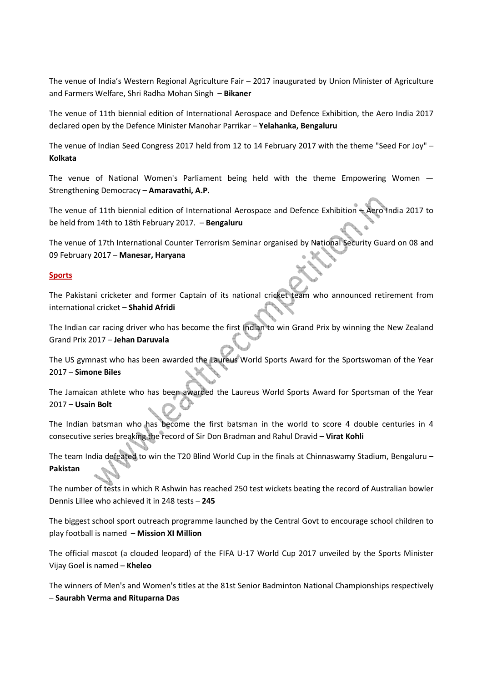The venue of India's Western Regional Agriculture Fair – 2017 inaugurated by Union Minister of Agriculture and Farmers Welfare, Shri Radha Mohan Singh – **Bikaner**

The venue of 11th biennial edition of International Aerospace and Defence Exhibition, the Aero India 2017 declared open by the Defence Minister Manohar Parrikar – **Yelahanka, Bengaluru**

The venue of Indian Seed Congress 2017 held from 12 to 14 February 2017 with the theme "Seed For Joy" – **Kolkata** 

The venue of National Women's Parliament being held with the theme Empowering Women — Strengthening Democracy – **Amaravathi, A.P.**

The venue of 11th biennial edition of International Aerospace and Defence Exhibition – Aero India 2017 to be held from 14th to 18th February 2017. – **Bengaluru**

The venue of 17th International Counter Terrorism Seminar organised by National Security Guard on 08 and 09 February 2017 – **Manesar, Haryana** 

#### **Sports**

The Pakistani cricketer and former Captain of its national cricket team who announced retirement from international cricket – **Shahid Afridi**

The Indian car racing driver who has become the first Indian to win Grand Prix by winning the New Zealand Grand Prix 2017 – **Jehan Daruvala**

The US gymnast who has been awarded the Laureus World Sports Award for the Sportswoman of the Year 2017 – **Simone Biles**

The Jamaican athlete who has been awarded the Laureus World Sports Award for Sportsman of the Year 2017 – **Usain Bolt**

The Indian batsman who has become the first batsman in the world to score 4 double centuries in 4 consecutive series breaking the record of Sir Don Bradman and Rahul Dravid – **Virat Kohli**

The team India defeated to win the T20 Blind World Cup in the finals at Chinnaswamy Stadium, Bengaluru – **Pakistan**

The number of tests in which R Ashwin has reached 250 test wickets beating the record of Australian bowler Dennis Lillee who achieved it in 248 tests – **245**

The biggest school sport outreach programme launched by the Central Govt to encourage school children to play football is named – **Mission XI Million**

The official mascot (a clouded leopard) of the FIFA U-17 World Cup 2017 unveiled by the Sports Minister Vijay Goel is named – **Kheleo**

The winners of Men's and Women's titles at the 81st Senior Badminton National Championships respectively – **Saurabh Verma and Rituparna Das**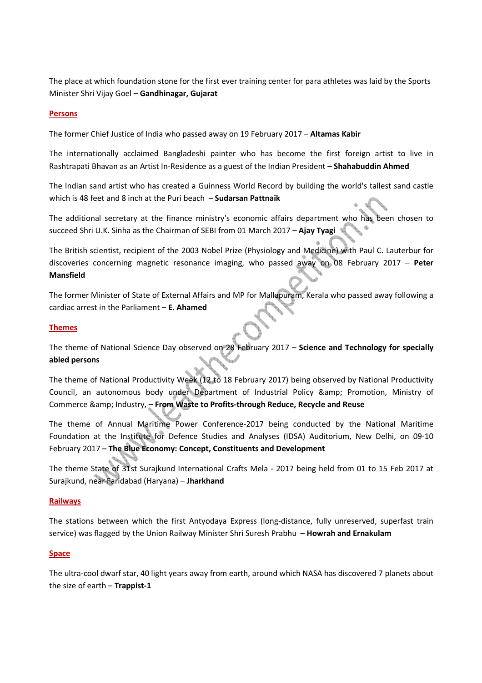The place at which foundation stone for the first ever training center for para athletes was laid by the Sports Minister Shri Vijay Goel – **Gandhinagar, Gujarat**

#### **Persons**

The former Chief Justice of India who passed away on 19 February 2017 – **Altamas Kabir** 

The internationally acclaimed Bangladeshi painter who has become the first foreign artist to live in Rashtrapati Bhavan as an Artist In-Residence as a guest of the Indian President – **Shahabuddin Ahmed**

The Indian sand artist who has created a Guinness World Record by building the world's tallest sand castle which is 48 feet and 8 inch at the Puri beach – **Sudarsan Pattnaik** 

The additional secretary at the finance ministry's economic affairs department who has been chosen to succeed Shri U.K. Sinha as the Chairman of SEBI from 01 March 2017 – **Ajay Tyagi**

The British scientist, recipient of the 2003 Nobel Prize (Physiology and Medicine) with Paul C. Lauterbur for discoveries concerning magnetic resonance imaging, who passed away on 08 February 2017 – **Peter Mansfield** 

The former Minister of State of External Affairs and MP for Mallapuram, Kerala who passed away following a cardiac arrest in the Parliament – **E. Ahamed**

#### **Themes**

The theme of National Science Day observed on 28 February 2017 – **Science and Technology for specially abled persons**

The theme of National Productivity Week (12 to 18 February 2017) being observed by National Productivity Council, an autonomous body under Department of Industrial Policy & amp; Promotion, Ministry of Commerce & amp; Industry, - From Waste to Profits-through Reduce, Recycle and Reuse

The theme of Annual Maritime Power Conference-2017 being conducted by the National Maritime Foundation at the Institute for Defence Studies and Analyses (IDSA) Auditorium, New Delhi, on 09-10 February 2017 – **The Blue Economy: Concept, Constituents and Development** 

The theme State of 31st Surajkund International Crafts Mela - 2017 being held from 01 to 15 Feb 2017 at Surajkund, near Faridabad (Haryana) – **Jharkhand**

#### **Railways**

The stations between which the first Antyodaya Express (long-distance, fully unreserved, superfast train service) was flagged by the Union Railway Minister Shri Suresh Prabhu – **Howrah and Ernakulam**

#### **Space**

The ultra-cool dwarf star, 40 light years away from earth, around which NASA has discovered 7 planets about the size of earth – **Trappist-1**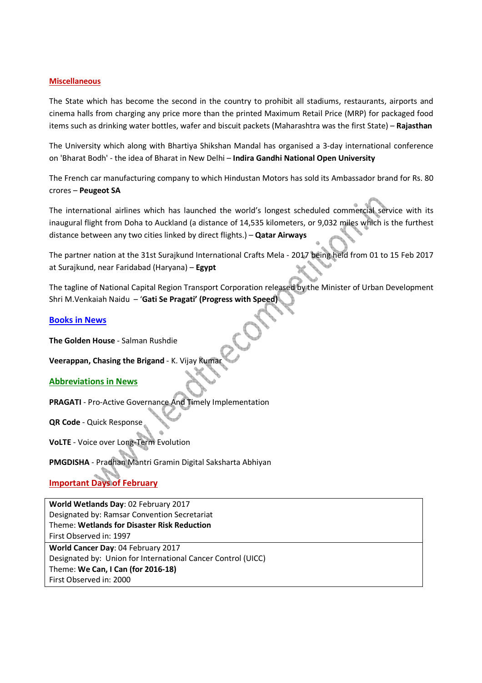#### **Miscellaneous**

The State which has become the second in the country to prohibit all stadiums, restaurants, airports and cinema halls from charging any price more than the printed Maximum Retail Price (MRP) for packaged food items such as drinking water bottles, wafer and biscuit packets (Maharashtra was the first State) – **Rajasthan**

The University which along with Bhartiya Shikshan Mandal has organised a 3-day international conference on 'Bharat Bodh' - the idea of Bharat in New Delhi – **Indira Gandhi National Open University**

The French car manufacturing company to which Hindustan Motors has sold its Ambassador brand for Rs. 80 crores – **Peugeot SA** 

The international airlines which has launched the world's longest scheduled commercial service with its inaugural flight from Doha to Auckland (a distance of 14,535 kilometers, or 9,032 miles which is the furthest distance between any two cities linked by direct flights.) – **Qatar Airways**

The partner nation at the 31st Surajkund International Crafts Mela - 2017 being held from 01 to 15 Feb 2017 at Surajkund, near Faridabad (Haryana) – **Egypt**

The tagline of National Capital Region Transport Corporation released by the Minister of Urban Development Shri M.Venkaiah Naidu – '**Gati Se Pragati' (Progress with Speed)** 

#### **Books in News**

**The Golden House** - Salman Rushdie

#### **Veerappan, Chasing the Brigand - K. Vijay Kuma**

#### **Abbreviations in News**

**PRAGATI** - Pro-Active Governance And Timely Implementation

**QR Code** - Quick Response

**VoLTE** - Voice over Long-Term Evolution

**PMGDISHA** - Pradhan Mantri Gramin Digital Saksharta Abhiyan

# **Important Days of February**

**World Wetlands Day**: 02 February 2017 Designated by: Ramsar Convention Secretariat Theme: **Wetlands for Disaster Risk Reduction** First Observed in: 1997

**World Cancer Day**: 04 February 2017 Designated by: Union for International Cancer Control (UICC) Theme: **We Can, I Can (for 2016-18)** First Observed in: 2000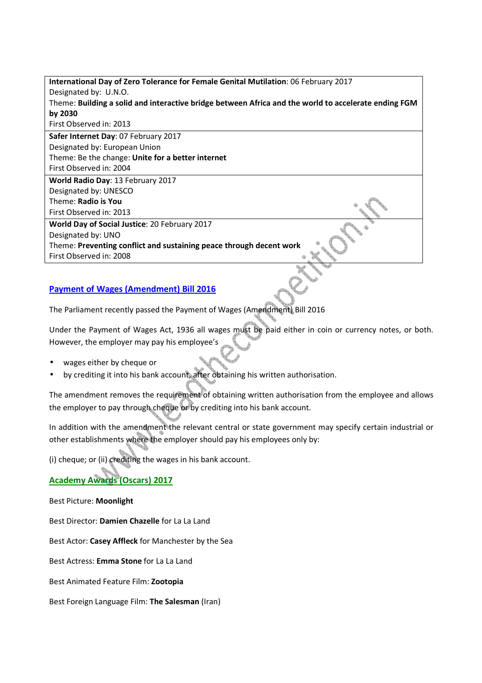| International Day of Zero Tolerance for Female Genital Mutilation: 06 February 2017                  |
|------------------------------------------------------------------------------------------------------|
| Designated by: U.N.O.                                                                                |
| Theme: Building a solid and interactive bridge between Africa and the world to accelerate ending FGM |
| by 2030                                                                                              |
| First Observed in: 2013                                                                              |
| Safer Internet Day: 07 February 2017                                                                 |
| Designated by: European Union                                                                        |
| Theme: Be the change: Unite for a better internet                                                    |
| First Observed in: 2004                                                                              |
| <b>World Radio Day: 13 February 2017</b>                                                             |
| Designated by: UNESCO                                                                                |
| Theme: Radio is You                                                                                  |
| First Observed in: 2013                                                                              |
| World Day of Social Justice: 20 February 2017                                                        |
| Designated by: UNO                                                                                   |
| Theme: Preventing conflict and sustaining peace through decent work                                  |
| First Observed in: 2008                                                                              |
|                                                                                                      |

# **Payment of Wages (Amendment) Bill 2016**

The Parliament recently passed the Payment of Wages (Amendment) Bill 2016

Under the Payment of Wages Act, 1936 all wages must be paid either in coin or currency notes, or both. However, the employer may pay his employee's

- wages either by cheque or
- by crediting it into his bank account, after obtaining his written authorisation.

The amendment removes the requirement of obtaining written authorisation from the employee and allows the employer to pay through cheque or by crediting into his bank account.

In addition with the amendment the relevant central or state government may specify certain industrial or other establishments where the employer should pay his employees only by:

(i) cheque; or (ii) crediting the wages in his bank account.

**Academy Awards (Oscars) 2017**

Best Picture: **Moonlight**

Best Director: **Damien Chazelle** for La La Land

Best Actor: **Casey Affleck** for Manchester by the Sea

Best Actress: **Emma Stone** for La La Land

Best Animated Feature Film: **Zootopia**

Best Foreign Language Film: **The Salesman** (Iran)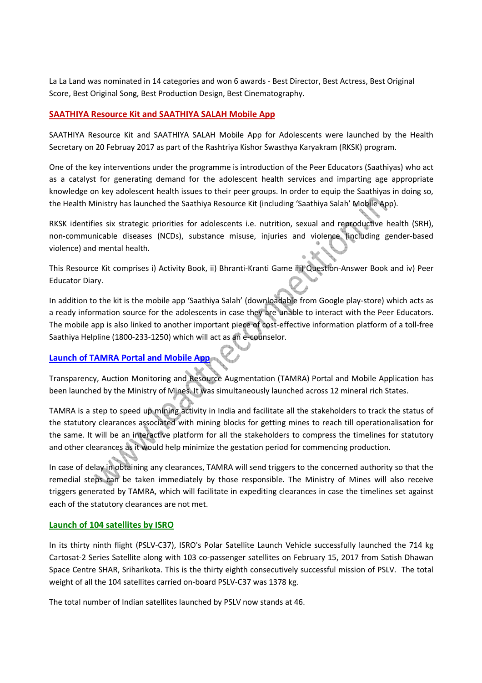La La Land was nominated in 14 categories and won 6 awards - Best Director, Best Actress, Best Original Score, Best Original Song, Best Production Design, Best Cinematography.

# **SAATHIYA Resource Kit and SAATHIYA SALAH Mobile App**

SAATHIYA Resource Kit and SAATHIYA SALAH Mobile App for Adolescents were launched by the Health Secretary on 20 Februay 2017 as part of the Rashtriya Kishor Swasthya Karyakram (RKSK) program.

One of the key interventions under the programme is introduction of the Peer Educators (Saathiyas) who act as a catalyst for generating demand for the adolescent health services and imparting age appropriate knowledge on key adolescent health issues to their peer groups. In order to equip the Saathiyas in doing so, the Health Ministry has launched the Saathiya Resource Kit (including 'Saathiya Salah' Mobile App).

RKSK identifies six strategic priorities for adolescents i.e. nutrition, sexual and reproductive health (SRH), non-communicable diseases (NCDs), substance misuse, injuries and violence (including gender-based violence) and mental health.  $\Join$ 

This Resource Kit comprises i) Activity Book, ii) Bhranti-Kranti Game iii) Question-Answer Book and iv) Peer Educator Diary.

In addition to the kit is the mobile app 'Saathiya Salah' (downloadable from Google play-store) which acts as a ready information source for the adolescents in case they are unable to interact with the Peer Educators. The mobile app is also linked to another important piece of cost-effective information platform of a toll-free Saathiya Helpline (1800-233-1250) which will act as an e-counselor.

# **Launch of TAMRA Portal and Mobile App**

Transparency, Auction Monitoring and Resource Augmentation (TAMRA) Portal and Mobile Application has been launched by the Ministry of Mines. It was simultaneously launched across 12 mineral rich States.

TAMRA is a step to speed up mining activity in India and facilitate all the stakeholders to track the status of the statutory clearances associated with mining blocks for getting mines to reach till operationalisation for the same. It will be an interactive platform for all the stakeholders to compress the timelines for statutory and other clearances as it would help minimize the gestation period for commencing production.

In case of delay in obtaining any clearances, TAMRA will send triggers to the concerned authority so that the remedial steps can be taken immediately by those responsible. The Ministry of Mines will also receive triggers generated by TAMRA, which will facilitate in expediting clearances in case the timelines set against each of the statutory clearances are not met.

#### **Launch of 104 satellites by ISRO**

In its thirty ninth flight (PSLV-C37), ISRO's Polar Satellite Launch Vehicle successfully launched the 714 kg Cartosat-2 Series Satellite along with 103 co-passenger satellites on February 15, 2017 from Satish Dhawan Space Centre SHAR, Sriharikota. This is the thirty eighth consecutively successful mission of PSLV. The total weight of all the 104 satellites carried on-board PSLV-C37 was 1378 kg.

The total number of Indian satellites launched by PSLV now stands at 46.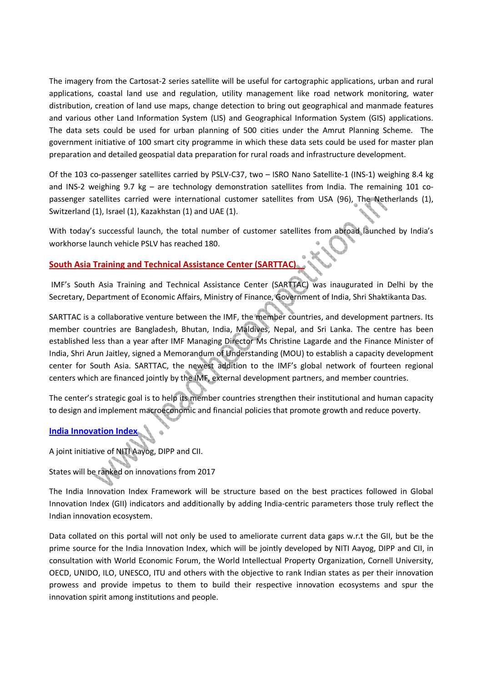The imagery from the Cartosat-2 series satellite will be useful for cartographic applications, urban and rural applications, coastal land use and regulation, utility management like road network monitoring, water distribution, creation of land use maps, change detection to bring out geographical and manmade features and various other Land Information System (LIS) and Geographical Information System (GIS) applications. The data sets could be used for urban planning of 500 cities under the Amrut Planning Scheme. The government initiative of 100 smart city programme in which these data sets could be used for master plan preparation and detailed geospatial data preparation for rural roads and infrastructure development.

Of the 103 co-passenger satellites carried by PSLV-C37, two – ISRO Nano Satellite-1 (INS-1) weighing 8.4 kg and INS-2 weighing 9.7 kg – are technology demonstration satellites from India. The remaining 101 copassenger satellites carried were international customer satellites from USA (96), The Netherlands (1), Switzerland (1), Israel (1), Kazakhstan (1) and UAE (1).

With today's successful launch, the total number of customer satellites from abroad launched by India's workhorse launch vehicle PSLV has reached 180.

# **South Asia Training and Technical Assistance Center (SARTTAC)**

 IMF's South Asia Training and Technical Assistance Center (SARTTAC) was inaugurated in Delhi by the Secretary, Department of Economic Affairs, Ministry of Finance, Government of India, Shri Shaktikanta Das.

SARTTAC is a collaborative venture between the IMF, the member countries, and development partners. Its member countries are Bangladesh, Bhutan, India, Maldives, Nepal, and Sri Lanka. The centre has been established less than a year after IMF Managing Director Ms Christine Lagarde and the Finance Minister of India, Shri Arun Jaitley, signed a Memorandum of Understanding (MOU) to establish a capacity development center for South Asia. SARTTAC, the newest addition to the IMF's global network of fourteen regional centers which are financed jointly by the IMF, external development partners, and member countries.

The center's strategic goal is to help its member countries strengthen their institutional and human capacity to design and implement macroeconomic and financial policies that promote growth and reduce poverty.

# **India Innovation Index**

A joint initiative of NITI Aayog, DIPP and CII.

States will be ranked on innovations from 2017

The India Innovation Index Framework will be structure based on the best practices followed in Global Innovation Index (GII) indicators and additionally by adding India-centric parameters those truly reflect the Indian innovation ecosystem.

Data collated on this portal will not only be used to ameliorate current data gaps w.r.t the GII, but be the prime source for the India Innovation Index, which will be jointly developed by NITI Aayog, DIPP and CII, in consultation with World Economic Forum, the World Intellectual Property Organization, Cornell University, OECD, UNIDO, ILO, UNESCO, ITU and others with the objective to rank Indian states as per their innovation prowess and provide impetus to them to build their respective innovation ecosystems and spur the innovation spirit among institutions and people.